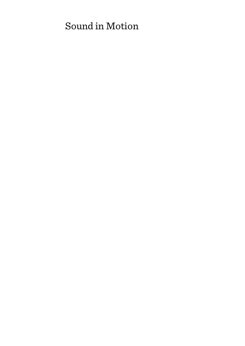# Sound in Motion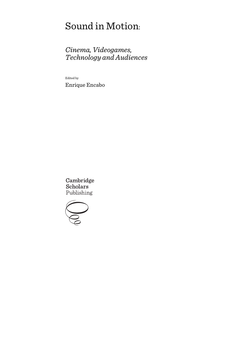# Sound in Motion:

# *Cinema, Videogames, Technology and Audiences*

Edited by

Enrique Encabo

Cambridge **Scholars** Publishing

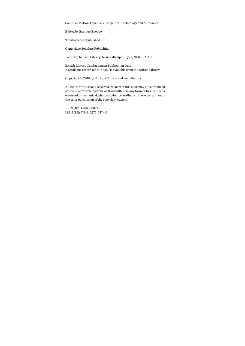Sound in Motion: Cinema, Videogames, Technology and Audiences

Edited by Enrique Encabo

This book first published 2018

Cambridge Scholars Publishing

Lady Stephenson Library, Newcastle upon Tyne, NE6 2PA, UK

British Library Cataloguing in Publication Data A catalogue record for this book is available from the British Library

Copyright © 2018 by Enrique Encabo and contributors

All rights for this book reserved. No part of this book may be reproduced, stored in a retrieval system, or transmitted, in any form or by any means, electronic, mechanical, photocopying, recording or otherwise, without the prior permission of the copyright owner.

ISBN (10): 1-5275-0874-9 ISBN (13): 978-1-5275-0874-3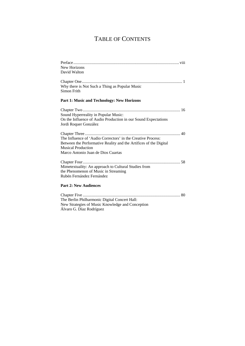# TABLE OF CONTENTS

| New Horizons<br>David Walton                                                                                                                                                                         |
|------------------------------------------------------------------------------------------------------------------------------------------------------------------------------------------------------|
| Why there is Not Such a Thing as Popular Music<br>Simon Frith                                                                                                                                        |
| <b>Part 1: Music and Technology: New Horizons</b>                                                                                                                                                    |
| Sound Hyperreality in Popular Music:<br>On the Influence of Audio Production in our Sound Expectations<br>Jordi Roquer González                                                                      |
| The Influence of 'Audio Correctors' in the Creative Process:<br>Between the Performative Reality and the Artifices of the Digital<br><b>Musical Production</b><br>Marco Antonio Juan de Dios Cuartas |
| Mimetextuality: An approach to Cultural Studies from<br>the Phenomenon of Music in Streaming<br>Rubén Fernández Fernández                                                                            |
| <b>Part 2: New Audiences</b>                                                                                                                                                                         |
| The Berlin Philharmonic Digital Concert Hall:<br>New Strategies of Music Knowledge and Conception<br>Álvaro G. Díaz Rodríguez                                                                        |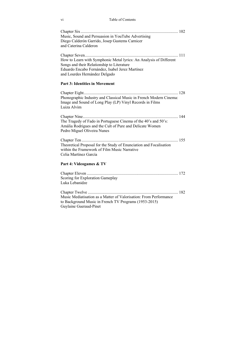vi Table of Contents

| Music, Sound and Persuasion in YouTube Advertising |  |
|----------------------------------------------------|--|
| Diego Calderón Garrido, Josep Gustems Carnicer     |  |
| and Caterina Calderon                              |  |
|                                                    |  |

Chapter Seven .......................................................................................... 111 How to Learn with Symphonic Metal lyrics: An Analysis of Different Songs and their Relationship to Literature Eduardo Encabo Fernández, Isabel Jerez Martínez and Lourdes Hernández Delgado

#### **Part 3: Identities in Movement**

Chapter Eight ........................................................................................... 128 Phonographic Industry and Classical Music in French Modern Cinema: Image and Sound of Long Play (LP) Vinyl Records in Films Luiza Alvim

| The Tragedy of Fado in Portuguese Cinema of the 40's and 50's: |  |
|----------------------------------------------------------------|--|
| Amália Rodrigues and the Cult of Pure and Delicate Women       |  |
| Pedro Miguel Oliveira Nunes                                    |  |

Chapter Ten ............................................................................................. 155 Theoretical Proposal for the Study of Enunciation and Focalisation within the Framework of Film Music Narrative Celia Martínez García

#### **Part 4: Videogames & TV**

| Scoring for Exploration Gameplay |  |
|----------------------------------|--|
| Luka Lebanidze                   |  |
|                                  |  |

Chapter Twelve ....................................................................................... 182 Music Mediatisation as a Matter of Valorisation: From Performance to Background Music in French TV Programs (1953-2015) Guylaine Gueraud-Pinet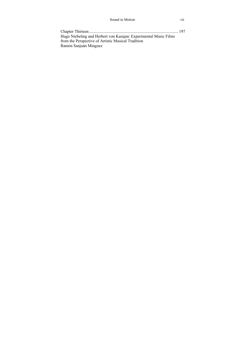| Hugo Niebeling and Herbert von Karajan: Experimental Music Films |  |
|------------------------------------------------------------------|--|
| from the Perspective of Artistic Musical Tradition               |  |
| Ramón Sanjuán Minguez                                            |  |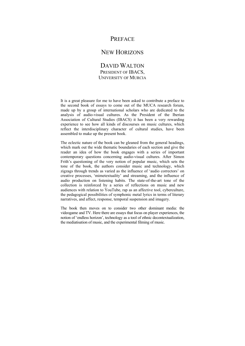# **PREFACE**

## NEW HORIZONS

### DAVID WALTON PRESIDENT OF IBACS, UNIVERSITY OF MURCIA

It is a great pleasure for me to have been asked to contribute a preface to the second book of essays to come out of the MUCA research forum, made up by a group of international scholars who are dedicated to the analysis of audio-visual cultures. As the President of the Iberian Association of Cultural Studies (IBACS) it has been a very rewarding experience to see how all kinds of discourses on music cultures, which reflect the interdisciplinary character of cultural studies, have been assembled to make up the present book.

The eclectic nature of the book can be gleaned from the general headings, which mark out the wide thematic boundaries of each section and give the reader an idea of how the book engages with a series of important contemporary questions concerning audio-visual cultures. After Simon Frith's questioning of the very notion of popular music, which sets the tone of the book, the authors consider music and technology, which zigzags through trends as varied as the influence of 'audio correctors' on creative processes, 'mimetextuality' and streaming, and the influence of audio production on listening habits. The state-of-the-art tone of the collection is reinforced by a series of reflections on music and new audiences with relation to YouTube, rap as an affective tool, cyberculture, the pedagogical possibilities of symphonic metal lyrics in terms of literary narratives, and affect, response, temporal suspension and imagery.

The book then moves on to consider two other dominant media: the videogame and TV. Here there are essays that focus on player experiences, the notion of 'endless horizon', technology as a tool of ethnic decontextualization, the mediatisation of music, and the experimental filming of music.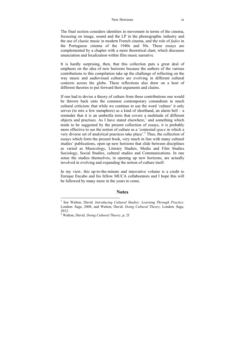#### New Horizons ix

The final section considers identities in movement in terms of the cinema, focussing on image, sound and the LP in the phonographic industry and the use of classic music in modern French cinema, and the role of *fados* in the Portuguese cinema of the 1940s and 50s. These essays are complemented by a chapter with a more theoretical slant, which discusses enunciation and focalization within film music narrative.

It is hardly surprising, then, that this collection puts a great deal of emphasis on the idea of new horizons because the authors of the various contributions to this compilation take up the challenge of reflecting on the way music and audiovisual cultures are evolving in different cultural contexts across the globe. These reflections also draw on a host of different theories to put forward their arguments and claims.

If one had to devise a theory of culture from these contributions one would be thrown back onto the common contemporary conundrum in much cultural criticism: that while we continue to use the word 'culture' it only serves (to mix a few metaphors) as a kind of shorthand, an alarm bell – a reminder that it is an umbrella term that covers a multitude of different objects and practises. As I have stated elsewhere, $<sup>1</sup>$  and something which</sup> tends to be suggested by the present collection of essays, it is probably more effective to see the notion of culture as a 'contested *space* in which a very diverse set of analytical practices take place'.<sup>2</sup> Thus, the collection of essays which form the present book, very much in line with many cultural studies' publications, open up new horizons that slide between disciplines as varied as Musicology, Literary Studies, Media and Film Studies Sociology, Social Studies, cultural studies and Communications. In one sense the studies themselves, in opening up new horizons, are actually involved in evolving and expanding the notion of culture itself.

In my view, this up-to-the-minute and innovative volume is a credit to Enrique Encabo and his fellow MUCA collaborators and I hope this will be followed by many more in the years to come.

#### **Notes**

 $\overline{a}$ 

<sup>&</sup>lt;sup>1</sup> See Walton, David. *Introducing Cultural Studies: Learning Through Practice*. London: Sage, 2008, and Walton, David. *Doing Cultural Theory*. London: Sage, 2012.

<sup>2</sup> Walton, David. *Doing Cultural Theory*, p. 2f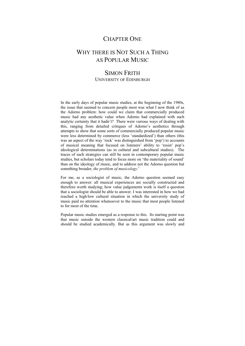# CHAPTER ONE

# WHY THERE IS NOT SUCH A THING AS POPULAR MUSIC

### SIMON FRITH UNIVERSITY OF EDINBURGH

In the early days of popular music studies, at the beginning of the 1980s, the issue that seemed to concern people most was what I now think of as the Adorno problem: how could we claim that commercially produced music had any aesthetic value when Adorno had explained with such analytic certainty that it hadn't? There were various ways of dealing with this, ranging from detailed critiques of Adorno's aesthetics through attempts to show that some sorts of commercially produced popular music were less determined by commerce (less 'standardized') than others (this was an aspect of the way 'rock' was distinguished from 'pop') to accounts of musical meaning that focused on listeners' ability to 'resist' pop's ideological determinations (as in cultural and subcultural studies). The traces of such strategies can still be seen in contemporary popular music studies, but scholars today tend to focus more on 'the materiality of sound' than on the ideology of music, and to address not the Adorno question but something broader, *the problem of musicology*. 1

For me, as a sociologist of music, the Adorno question seemed easy enough to answer: all musical experiences are socially constructed and therefore worth studying; how value judgements work is itself a question that a sociologist should be able to answer. I was interested in how we had reached a high/low cultural situation in which the university study of music paid no attention whatsoever to the music that most people listened to for most of the time.

Popular music studies emerged as a response to this. Its starting point was that music outside the western classical/art music tradition could and should be studied academically. But as this argument was slowly and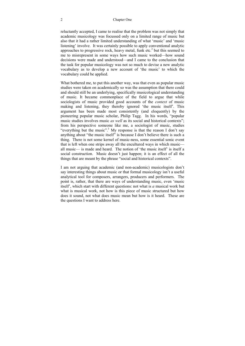#### 2 Chapter One

reluctantly accepted, I came to realise that the problem was not simply that academic musicology was focussed only on a limited range of music but also that it had a rather limited understanding of what 'music' and 'music listening' involve. It was certainly possible to apply conventional analytic approaches to progressive rock, heavy metal, funk etc.<sup>2</sup> but this seemed to me to misrepresent in some ways how such music worked—how sound decisions were made and understood—and I came to the conclusion that the task for popular musicology was not so much to devise a new analytic vocabulary as to develop a new account of 'the music' to which the vocabulary could be applied.

What bothered me, to put this another way, was that even as popular music studies were taken on academically so was the assumption that there could and should still be an underlying, specifically musicological understanding of music. It became commonplace of the field to argue that while sociologists of music provided good accounts of the *context* of music making and listening, they thereby ignored 'the music itself'. This argument has been made most consistently (and eloquently) by the pioneering popular music scholar, Philip Tagg. In his words, "popular music studies involves music *as well* as its social and historical contexts"; from his perspective someone like me, a sociologist of music, studies "everything but the music".<sup>3</sup> My response is that the reason I don't say anything about "the music itself" is because I don't believe there is such a thing. There is not some kernel of music-ness, some essential sonic event that is left when one strips away all the encultured ways in which music all music— is made and heard. The notion of 'the music itself' is itself a social construction. Music doesn't just happen; it is an effect of all the things that are meant by the phrase "social and historical contexts".

I am not arguing that academic (and non-academic) musicologists don't say interesting things about music or that formal musicology isn't a useful analytical tool for composers, arrangers, producers and performers. The point is, rather, that there are ways of understanding music, even 'music itself', which start with different questions: not what is *a* musical work but what is musical work, not how is this piece of music structured but how does it sound, not what does music mean but how is it heard. These are the questions I want to address here.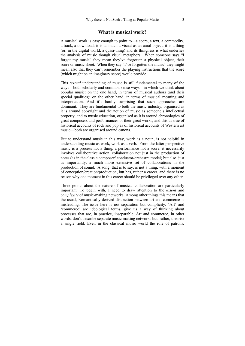#### **What is musical work?**

A musical work is easy enough to point to—a score, a text, a commodity, a track, a download; it is as much a visual as an aural object; it is a thing (or, in the digital world, a quasi-thing) and its thingness is what underlies the analysis of music though visual metaphors. When someone says "I forgot my music" they mean they've forgotten a physical object, their score or music sheet. When they say "I've forgotten the music' they might mean also that they can't remember the playing instructions that the score (which might be an imaginary score) would provide.

This *textual* understanding of music is still fundamental to many of the ways—both scholarly and common sense ways—in which we think about popular music: on the one hand, in terms of musical authors (and their special qualities); on the other hand, in terms of musical meaning and interpretation. And it's hardly surprising that such approaches are dominant. They are fundamental to both the music industry, organised as it is around copyright and the notion of music as someone's intellectual property, and to music education, organised as it is around chronologies of great composers and performances of their great works; and this as true of historical accounts of rock and pop as of historical accounts of Western art music—both are organised around canons.

But to understand music in this way, work as a noun, is not helpful in understanding music as work, work as a verb. From the latter perspective music is a process not a thing, a performance not a score; it necessarily involves collaborative action, collaboration not just in the production of notes (as in the classic composer/ conductor/orchestra model) but also, just as importantly, a much more extensive set of collaborations in the production of sound. A song, that is to say, is not a thing, with a moment of conception/creation/production, but has, rather a career, and there is no reason why one moment in this career should be privileged over any other.

Three points about the nature of musical collaboration are particularly important. To begin with, I need to draw attention to the *extent* and *complexity* of music-making networks. Among other things this means that the usual, Romantically-derived distinction between art and commerce is misleading. The issue here is not separation but complicity. 'Art' and 'commerce' are ideological terms, give us a way of thinking about processes that are, in practice, inseparable. Art and commerce, in other words, don't describe separate music making networks but, rather, theorise a single field. Even in the classical music world the role of patrons,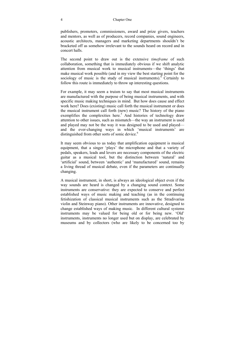#### 4 Chapter One

publishers, promoters, commissioners, award and prize givers, teachers and mentors, as well as of producers, record companies, sound engineers, acoustic architects, managers and marketing departments shouldn't be bracketed off as somehow irrelevant to the sounds heard on record and in concert halls.

The second point to draw out is the extensive *timeframe* of such collaboration, something that is immediately obvious if we shift analytic attention from musical work to musical instruments—the 'things' that make musical work possible (and in my view the best starting point for the sociology of music is the study of musical instruments). $4$  Certainly to follow this route is immediately to throw up interesting questions.

For example, it may seem a truism to say that most musical instruments are manufactured with the purpose of being musical instruments, and with specific music making techniques in mind. But how does cause and effect work here? Does (existing) music call forth the musical instrument or does the musical instrument call forth (new) music? The history of the piano exemplifies the complexities here.<sup>5</sup> And histories of technology draw attention to other issues, such as mismatch—the way an instrument is used and played may not be the way it was designed to be used and played and the ever-changing ways in which 'musical instruments' are distinguished from other sorts of sonic device.<sup>6</sup>

It may seem obvious to us today that amplification equipment is musical equipment, that a singer 'plays' the microphone and that a variety of pedals, speakers, leads and levers are necessary components of the electric guitar as a musical tool, but the distinction between 'natural' and 'artificial' sound, between 'authentic' and 'manufactured' sound, remains a living thread of musical debate, even if the parameters are continually changing.

A musical instrument, in short, is always an ideological object even if the way sounds are heard is changed by a changing sound context. Some instruments are conservative: they are expected to conserve and perfect established ways of music making and teaching (as in the continuing fetishization of classical musical instruments such as the Stradivarius violin and Steinway piano). Other instruments are innovative, designed to change established ways of making music. In different cultural systems instruments may be valued for being old or for being new. 'Old' instruments, instruments no longer used but on display, are celebrated by museums and by collectors (who are likely to be concerned too by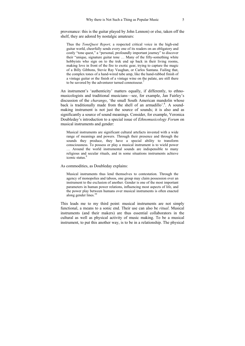provenance: this is the guitar played by John Lennon) or else, taken off the shelf, they are adored by nostalgic amateurs:

Thus the *ToneQuest Report,* a respected critical voice in the high-end guitar world, cheerfully sends every one of its readers on an obligatory and costly "tone quest," a "personal, profoundly important journey" to discover their "unique, signature guitar tone … Many of the fifty-something white hobbyists who sign on to the trek end up back in their living rooms. making love in front of the fire to exotic gear, trying to capture the magic of a Billy Gibbons, Stevie Ray Vaughan, or Carlos Santana. Failing that, the complex tones of a hand-wired tube amp, like the hand-rubbed finish of a vintage guitar or the finish of a vintage wine on the palate, are still there to be savored by the adventurer turned connoisseur.<sup>7</sup>

An instrument's 'authenticity' matters equally, if differently, to ethnomusicologists and traditional musicians—see, for example, Jan Fairley's discussion of the *charango*, 'the small South American mandolin whose back is traditionally made from the shell of an armadillo'.<sup>8</sup>. A soundmaking instrument is not just the source of sounds; it is also and as significantly a source of sound meanings. Consider, for example, Veronica Doubleday's introduction to a special issue of *Ethnomusicology Forum* on musical instruments and gender:

Musical instruments are significant cultural artefacts invested with a wide range of meanings and powers. Through their presence and through the sounds they produce, they have a special ability to transform consciousness. To possess or play a musical instrument is to wield power … Around the world instrumental sounds are indispensible to many religious and secular rituals, and in some situations instruments achieve  $i$ conic status.<sup>9</sup>

As commodities, as Doubleday explains:

Musical instruments thus lend themselves to contestation. Through the agency of monopolies and taboos, one group may claim possession over an instrument to the exclusion of another. Gender is one of the most important parameters in human power relations, influencing most aspects of life, and the power play between humans over musical instruments is often enacted along gender lines.<sup>10</sup>

This leads me to my third point: musical instruments are not simply functional, a means to a sonic end. Their use can also be *ritual*. Musical instruments (and their makers) are thus essential collaborators in the cultural as well as physical activity of music making. To be a musical instrument, to put this another way, is to be in a relationship. The physical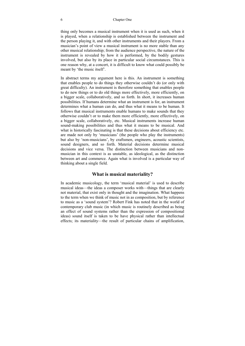#### 6 Chapter One

thing only becomes a musical instrument when it is used as such, when it is played, when a relationship is established between the instrument and the person playing it, and with other instruments and their players. From a musician's point of view a musical instrument is no more stable than any other musical relationship; from the audience perspective, the nature of the instrument is revealed by how it is performed, by the bodily gestures involved, but also by its place in particular social circumstances. This is one reason why, at a concert, it is difficult to know what could possibly be meant by 'the music itself'.

In abstract terms my argument here is this. An instrument is something that enables people to do things they otherwise couldn't do (or only with great difficulty). An instrument is therefore something that enables people to do new things or to do old things more effectively, more efficiently, on a bigger scale, collaboratively, and so forth. In short, it increases human possibilities. If humans determine what an instrument is for, an instrument determines what a human can do, and thus what it means to be human. It follows that musical instruments enable humans to make sounds that they otherwise couldn't or to make them more efficiently, more effectively, on a bigger scale, collaboratively, etc. Musical instruments increase human sound-making possibilities and thus what it means to be musical. And what is historically fascinating is that these decisions about efficiency etc. are made not only by 'musicians' (the people who play the instruments) but also by 'non-musicians', by craftsmen, engineers, acoustic scientists, sound designers, and so forth. Material decisions determine musical decisions and vice versa. The distinction between musicians and nonmusician in this context is as unstable, as ideological, as the distinction between art and commerce. Again what is involved is a particular way of thinking about a single field.

#### **What is musical materiality?**

In academic musicology, the term 'musical material' is used to describe musical ideas—the ideas a composer works with—things that are clearly not material, that exist only in thought and the imagination. What happens to the term when we think of music not in as composition, but by reference to music as a 'sound system'? Robert Fink has noted that in the world of contemporary club music (in which music is routinely described as being an effect of sound systems rather than the expression of compositional ideas) sound itself is taken to be have physical rather than intellectual effects; its materiality—the result of particular chains of amplification,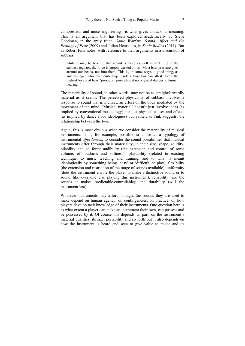compression and noise engineering—is what gives a track its meaning. This is an argument that has been explored academically by Steve Goodman, in the aptly titled, *Sonic Warfare. Sound, Affect and the Ecology of Fear* (2009) and Julian Henriques, in *Sonic Bodies* (2011). But as Robert Fink notes, with reference to their arguments in a discussion of subbass,

while it may be true ... that sound is force as well as text [...] in the subbass register, the force is largely wasted on us. Most bass pressure goes around our heads, not into them. This is, in some ways, a good thing, as any teenager who ever curled up inside a bass bin can attest. Even the highest levels of bass "pressure" pose almost no physical danger to human hearing. $11$ 

The materiality of sound, in other words, may not be as straightforwardly material as it seems. The perceived physicality of subbass involves a response to sound that is indirect, an effect on the body mediated by the movement of the mind. 'Musical material' doesn't just involve ideas (as implied by conventional musicology) nor just physical causes and effects (as implied by dance floor ideologues) but, rather, as Fink suggests, the relationship between the two.

Again, this is most obvious when we consider the materiality of musical instruments. It is, for example, possible to construct a typology of instrumental *affordances*, to consider the sound possibilities that musical instruments offer through their materiality, in their size, shape, solidity, pliability and so forth: audibility (the extension and control of sonic volume, of loudness and softness); playability (related to existing technique, to music teaching and training, and to what is meant ideologically by something being 'easy' or 'difficult' to play); flexibility (the extension and restriction of the range of sounds available); uniformity (does the instrument enable the player to make a distinctive sound or to sound like everyone else playing this instrument); reliability (are the sounds it makes predictable/controllable); and durability (will the instrument last).

Whatever instruments may afford, though, the sounds they are used to make depend on human agency, on contingencies, on practice, on how players develop tacit knowledge of their instruments. One question here is to what extent a player can make an instrument their own, can possess and be possessed by it. Of course this depends, in part, on the instrument's material qualities, its size, portability and so forth but it also depends on how the instrument is heard and seen to give value to music and its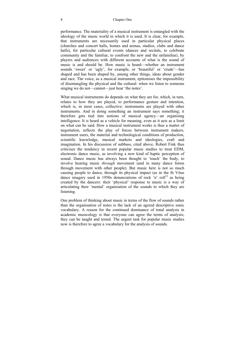#### 8 Chapter One

performance. The materiality of a musical instrument is entangled with the ideology of the music world in which it is used. It is clear, for example, that instruments are necessarily used in particular physical places (churches and concert halls, homes and arenas, studios, clubs and dance halls), for particular cultural events (dances and recitals, to celebrate community and the familiar, to confront the new and the unfamiliar), by players and audiences with different accounts of what is the sound of music is and should be. How music is heard—whether an instrument sounds 'sweet' or 'ugly', for example, or 'beautiful' or 'crude'—has shaped and has been shaped by, among other things, ideas about gender and race. The voice, as a musical instrument, epitomises the impossibility of disentangling the physical and the cultural: when we listen to someone singing we do not—cannot—just hear 'the notes'.

What musical instruments do depends on what they are for, which, in turn, relates to how they are played, to performance gesture and intention, which is, in most cases, collective: instruments are played with other instruments. And in doing something an instrument says something; it therefore gets tied into notions of musical agency—an organising intelligence. It is heard as a vehicle for meaning, even as it acts as a limit on what can be said. How a musical instrument works is thus a matter of negotiation, reflects the play of forces between instrument makers, instrument users, the material and technological conditions of production, scientific knowledge, musical markets and ideologies, craft and imagination. In his discussion of subbass, cited above, Robert Fink thus criticises the tendency in recent popular music studies to treat EDM, electronic dance music, as involving a new kind of haptic perception of sound. Dance music has always been thought to 'touch' the body, to involve hearing music *through* movement (and in many dance forms through movement with other people). But music here is not so much causing people to dance, through its physical impact (as in the St Vitus dance imagery used in 1950s denunciations of rock 'n' roll<sup>12</sup> as being created by the dancers: their 'physical' response to music is a way of articulating their 'mental' organisation of the sounds to which they are listening.

One problem of thinking about music in terms of the flow of sounds rather than the organisation of notes is the lack of an agreed descriptive sonic vocabulary. A reason for the continued dominance of tonal analysis in academic musicology is that everyone can agree the terms of analysis; they can be taught and tested. The urgent task for popular music studies now is therefore to agree a vocabulary for the analysis of sounds.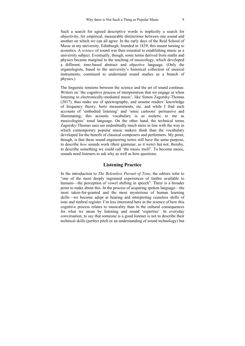Such a search for agreed descriptive words is implicitly a search for objectivity, for empirical, measurable distinctions between one sound and another on which we can all agree. In the early days of the Reid School of Music at my university, Edinburgh, founded in 1839, this meant turning to acoustics. A *science* of sound was then essential to establishing music as a university subject. Eventually, though, sonic terms derived from maths and physics became marginal to the teaching of musicology, which developed a different, tone-based abstract and objective language. (Only the organologists, based in the university's historical collection of musical instruments, continued to understand sound studies as a branch of physics.)

The linguistic tensions between the science and the art of sound continue. Writers on 'the cognitive process of interpretation that we engage in when listening to electronically-mediated music', like Simon Zagorsky-Thomas (2017), thus make use of spectrography, and assume readers' knowledge of frequency theory, hertz measurements, etc. and while I find such accounts of 'embodied listening' and 'sonic cartoons' persuasive and illuminating, this acoustic vocabulary is as esoteric to me as musicologists' tonal language. On the other hand, the technical terms Zagorsky-Thomas uses are undoubtedly much more in line with the way in which contemporary popular music makers think than the vocabulary developed for the benefit of classical composers and performers. My point, though, is that these sound engineering terms still have the same purpose, to describe *how* sounds work (their grammar, as it were) but not, thereby, to describe something we could call 'the music itself'. To become music, sounds need listeners to ask why as well as how questions.

#### **Listening Practice**

In the introduction to *The Relentless Pursuit of Tone*, the editors refer to "one of the most deeply ingrained experiences of timbre available to humans—the perception of vowel shifting in speech". There is a broader point to make about this. In the process of acquiring spoken language—the most taken-for-granted and the most mysterious of human learning skills—we become adept at hearing and interpreting ceaseless shifts of tone and timbral register. I'm less interested here in the science of how this cognitive process relates to musicality than in the cultural consequences for what we mean by listening and sound 'expertise'. In everyday conversation, to say that someone is a good listener is not to describe their technical skills (perfect pitch or an understanding of sound technology) but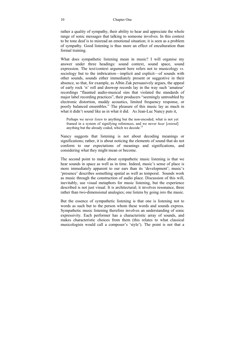rather a quality of sympathy, their ability to hear and appreciate the whole range of sonic messages that talking to someone involves. In this context to be tone deaf is to misread an emotional situation; it is seen as a problem of sympathy. Good listening is thus more an effect of enculturation than formal training.

What does sympathetic listening mean in music? I will organise my answer under three headings: sound context, sound space, sound expression. The text/context argument here refers not to musicology *vs.* sociology but to the imbrication—implicit and explicit—of sounds with other sounds, sounds either immediately present or suggestive in their absence, so that, for example, as Albin Zak persuasively argues, the appeal of early rock 'n' roll and doowop records lay in the way such 'amateur' recordings "flaunted audio-musical sins that violated the standards of major label recording practices", their producers "seemingly untroubled by electronic distortion, muddy acoustics, limited frequency response, or poorly balanced ensembles." The pleasure of this music lay as much in what it didn't sound like as in what it did. As Jean-Luc Nancy puts it,

Perhaps we never *listen* to anything but the non-encoded, what is not yet framed in a system of signifying references, and we never *hear* [*entend*] anything but the already coded, which we decode.<sup>13</sup>

Nancy suggests that listening is not about decoding meanings or significations; rather, it is about noticing the elements of sound that do not conform to our expectations of meanings and significations, and considering what they might mean or become.

The second point to make about sympathetic music listening is that we hear sounds in space as well as in time. Indeed, music's sense of place is more immediately apparent to our ears than its 'development'; music's 'presence' describes something spatial as well as temporal. Sounds work as music through the construction of audio place. Discussion of this will, inevitably, use visual metaphors for music listening, but the experience described is not just visual. It is architectural; it involves resonance, three rather than two-dimensional analogies; one listens by going *into* the music.

But the essence of sympathetic listening is that one is listening not to words as such but to the person whom these words and sounds express. Sympathetic music listening therefore involves an understanding of sonic expressivity. Each performer has a characteristic array of sounds, and makes characteristic choices from them (this relates to what classical musicologists would call a composer's 'style'). The point is not that a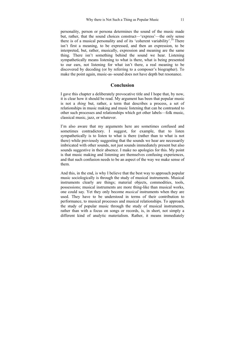personality, person or persona determines the sound of the music made but, rather, that the sound choices construct—'express'—the only sense there is of a musical personality and of its 'coherent variability'.<sup> $14$ </sup> There isn't first a meaning, to be expressed, and then an expression, to be interpreted, but, rather, musically, expression and meaning are the same thing. There isn't something behind the sound we hear. Listening sympathetically means listening to what is there, what is being presented to our ears, not listening for what isn't there, a real meaning to be discovered by decoding (or by referring to a composer's biographer). To make the point again, music-as–sound does not have depth but resonance.

#### **Conclusion**

I gave this chapter a deliberately provocative title and I hope that, by now, it is clear how it should be read. My argument has been that popular music is not a *thing* but, rather, a term that describes a process, a set of relationships in music making and music listening that can be contrasted to other such processes and relationships which get other labels—folk music, classical music, jazz, or whatever.

I'm also aware that my arguments here are sometimes confused and sometimes contradictory. I suggest, for example, that to listen sympathetically is to listen to what is there (rather than to what is not there) while previously suggesting that the sounds we hear are necessarily imbricated with other sounds, not just sounds immediately present but also sounds suggestive in their absence. I make no apologies for this. My point is that music making and listening are themselves confusing experiences, and that such confusion needs to be an aspect of the way we make sense of them.

And this, in the end, is why I believe that the best way to approach popular music sociologically is through the study of musical instruments. Musical instruments clearly are things; material objects, commodities, tools, possessions; musical instruments are more thing-like than musical works, one could say. Yet they only become *musical* instruments when they are used. They have to be understood in terms of their contribution to performance, to musical processes and musical relationships. To approach the study of popular music through the study of musical instruments, rather than with a focus on songs or records, is, in short, not simply a different kind of analytic materialism. Rather, it means immediately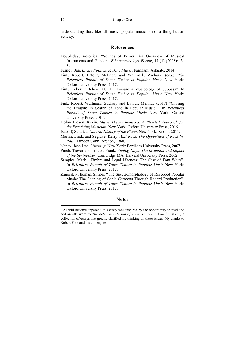understanding that, like all music, popular music is not a thing but an activity.

#### **References**

- Doubleday, Veronica. "Sounds of Power: An Overview of Musical Instruments and Gender", *Ethnomusicology Forum*, 17 (1) (2008): 3- 39.
- Fairley, Jan. *Living Politics, Making Music*. Farnham: Ashgate, 2014.
- Fink, Robert, Latour, Melinda, and Wallmark, Zachary. (eds.). *The Relentless Pursuit of Tone: Timbre in Popular Music* New York: Oxford University Press, 2017.
- Fink, Robert. "Below 100 Hz: Toward a Musicology of Subbass". In *Relentless Pursuit of Tone: Timbre in Popular Music* New York: Oxford University Press, 2017.
- Fink, Robert, Wallmark, Zachary and Latour, Melinda (2017) "Chasing the Dragon: In Search of Tone in Popular Music'". In *Relentless Pursuit of Tone: Timbre in Popular Music* New York: Oxford University Press, 2017.
- Holm-Hudson, Kevin. *Music Theory Remixed: A Blended Approach for the Practicing Musician*. New York: Oxford University Press, 2016.
- Isacoff, Stuart. *A Natural History of the Piano*. New York: Knopf, 2011.
- Martin, Linda and Segrave, Kerry. *Anti-Rock. The Opposition of Rock 'n' Roll*. Hamden Conn: Archon, 1988.
- Nancy, Jean Luc. *Listening*. New York: Fordham University Press, 2007.
- Pinch, Trevor and Trocco, Frank. *Analog Days: The Invention and Impact of the Synthesiser*. Cambridge MA: Harvard University Press, 2002.
- Samples, Mark. "Timbre and Legal Likeness: The Case of Tom Waits". In *Relentless Pursuit of Tone: Timbre in Popular Music* New York: Oxford University Press, 2017.
- Zagorsky-Thomas, Simon. "The Spectromorphology of Recorded Popular Music: The Shaping of Sonic Cartoons Through Record Production". In *Relentless Pursuit of Tone: Timbre in Popular Music* New York: Oxford University Press, 2017.

#### **Notes**

<sup>&</sup>lt;sup>1</sup> As will become apparent, this essay was inspired by the opportunity to read and add an afterword to *The Relentless Pursuit of Tone: Timbre in Popular Music,* a collection of essays that greatly clarified my thinking on these issues. My thanks to Robert Fink and his colleagues.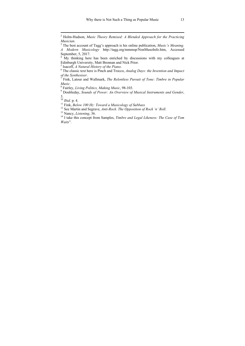<sup>4</sup> My thinking here has been enriched by discussions with my colleagues at Edinburgh University, Matt Brennan and Nick Prior.

 $<sup>5</sup>$  Isacoff, A Natural History of the Piano.</sup>

<sup>5</sup> Isacoff, *A Natural History of the Piano*.<br><sup>6</sup> The classic text here is Pinch and Trocco, *Analog Days: the Invention and Impact* 

*of the Synthesiser.*<br><sup>7</sup> Fink, Latour and Wallmark, *The Relentless Pursuit of Tone: Timbre in Popular Music.*<br><sup>8</sup> Fairley, *Living Politics, Making Music*, 98-103.

<sup>s</sup> Fairley, *Living Politics, Making Music,* 98-103.<br><sup>9</sup> Doubleday, *Sounds of Power: An Overview of Musical Instruments and Gender,*  $3.$ <sup>10</sup>*Ibid.* p. 4.

<sup>11</sup> Fink, *Below 100 Hz: Toward a Musicology of Subbass*<br><sup>12</sup> See Martin and Segrave, *Anti-Rock. The Opposition of Rock 'n' Roll*.<br><sup>13</sup> Nancy, *Listening*, 36.<br><sup>14</sup> I take this concept from Samples. *Timbre and Legal Li* 

*Waits*".

 2 Holm-Hudson, *Music Theory Remixed: A Blended Approach for the Practicing* 

*Musician.*<br><sup>3</sup> The best account of Tagg's approach is his online publication, *Music's Meaning*. *A Modern Musicology* http://tagg.org/mmmsp/NonMusoInfo.htm, Accessed September, 5, 2017.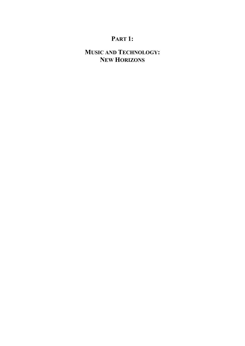# **PART 1:**

# **MUSIC AND TECHNOLOGY: NEW HORIZONS**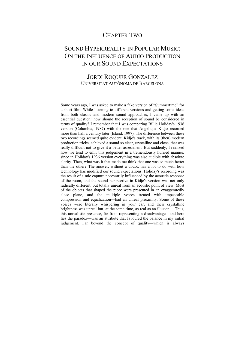### CHAPTER TWO

# SOUND HYPERREALITY IN POPULAR MUSIC: ON THE INFLUENCE OF AUDIO PRODUCTION IN OUR SOUND EXPECTATIONS

### JORDI ROQUER GONZÁLEZ UNIVERSITAT AUTÒNOMA DE BARCELONA

Some years ago, I was asked to make a fake version of "Summertime" for a short film. While listening to different versions and getting some ideas from both classic and modern sound approaches, I came up with an essential question: how should the reception of sound be considered in terms of quality? I remember that I was comparing Billie Holiday's 1936 version (Columbia, 1987) with the one that Angelique Kidjo recorded more than half a century later (Island, 1997). The difference between these two recordings seemed quite evident: Kidjo's track, with its (then) modern production tricks, achieved a sound so clear, crystalline and close, that was really difficult not to give it a better assessment. But suddenly, I realized how we tend to emit this judgement in a tremendously hurried manner, since in Holiday's 1936 version everything was also audible with absolute clarity. Then, what was it that made me think that one was so much better than the other? The answer, without a doubt, has a lot to do with how technology has modified our sound expectations: Holiday's recording was the result of a mic capture necessarily influenced by the acoustic response of the room, and the sound perspective in Kidjo's version was not only radically different, but totally unreal from an acoustic point of view. Most of the objects that shaped the piece were presented in an exaggeratedly close plane, and the multiple voices—treated with impeccable compression and equalization—had an unreal proximity. Some of these voices were literally whispering in your ear, and their crystalline brightness was unreal but, at the same time, as real as an illusion… Thus, this unrealistic presence, far from representing a disadvantage—and here lies the paradox—was an attribute that favoured the balance in my initial judgement. Far beyond the concept of quality—which is always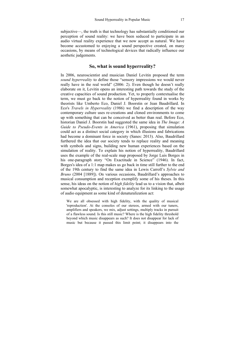subjective—, the truth is that technology has substantially conditioned our perception of sound reality: we have been seduced to participate in an audio virtual reality experience that we now accept as natural. We have become accustomed to enjoying a sound perspective created, on many occasions, by means of technological devices that radically influence our aesthetic judgements.

#### **So, what is sound hyperreality?**

In 2006, neuroscientist and musician Daniel Levitin proposed the term *sound hyperreality* to define those "sensory impressions we would never really have in the real world" (2006: 2). Even though he doesn't really elaborate on it, Levitin opens an interesting path towards the study of the creative capacities of sound production. Yet, to properly contextualise the term, we must go back to the notion of hyperreality found in works by theorists like Umberto Eco, Daniel J. Boorstin or Jean Baudrillard. In Eco's *Travels in Hyperreality* (1986) we find a description of the way contemporary culture uses re-creations and cloned environments to come up with something that can be conceived as better than real. Before Eco, historian Daniel J. Boorstin had suggested the same idea in *The Image: A Guide to Pseudo-Events in America* (1961), proposing that simulation could act as a distinct social category in which illusions and fabrications had become a dominant force in society (Sanes: 2013). Also, Baudrillard furthered the idea that our society tends to replace reality and meaning with symbols and signs, building new human experiences based on the simulation of reality. To explain his notion of hyperreality, Baudrillard uses the example of the real-scale map proposed by Jorge Luis Borges in his one-paragraph story "On Exactitude in Science" (1946). In fact, Borges's idea of a 1:1 map makes us go back in time still further to the end of the 19th century to find the same idea in Lewis Carroll's *Sylvie and Bruno* (2004 [1889]). On various occasions, Baudrillard's approaches to musical consumption and reception exemplify some of his theses. In this sense, his ideas on the notion of *high fidelity* lead us to a vision that, albeit somewhat apocalyptic, is interesting to analyze for its linking to the usage of audio equipment as some kind of denaturalization act:

We are all obsessed with high fidelity, with the quality of musical 'reproduction'. At the consoles of our stereos, armed with our tuners, amplifiers and speakers, we mix, adjust settings, multiply tracks in pursuit of a flawless sound. Is this still music? Where is the high fidelity threshold beyond which music disappears as such? It does not disappear for lack of music but because it passed this limit point; it disappears into the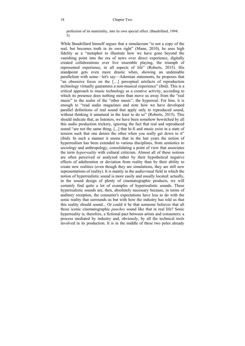perfection of its materiality, into its own special effect. (Baudrillard, 1994: 5)

While Baudrillard himself argues that a simulacrum "is not a copy of the real, but becomes truth in its own right" (Mann, 2010), he uses high fidelity as a "metaphor to illustrate how we have gone beyond the vanishing point into the era of news over direct experience, digitally created collaborations over live ensemble playing, the triumph of represented experience, in all aspects of life" (Roberts, 2015). His standpoint gets even more drastic when, showing an undeniable parallelism with some—let's say—Adornian statements, he proposes that "an obsessive focus on the […] perceptual artefacts of reproduction technology virtually guarantees a non-musical experience" (ibid). This is a critical approach to music technology as a creative activity, according to which its presence does nothing more than move us away from the "real" music" to the realm of the "other music", the hyperreal. For him, it is enough to "read audio magazines and note how we have developed parallel definitions of real sound that apply only to reproduced sound, without thinking it unnatural in the least to do so" (Roberts, 2015). This should indicate that, as listeners, we have been somehow bewitched by all this audio production trickery, ignoring the fact that real and reproduced sound "are not the same thing, [...] that hi-fi and music exist in a state of tension such that one denies the other when you really get down to it" (ibid). In such a manner it seems that in the last years the notion of hyperrealism has been extended to various disciplines, from semiotics to sociology and anthropology, consolidating a point of view that associates the term *hyperreality* with cultural criticism. Almost all of these notions are often perceived or analyzed rather by their hypothetical negative effects of adulteration or deviation from reality than by their ability to create new realities (even though they are simulations, they are still new representations of reality). It is mainly in the audiovisual field in which the notion of hyperrealistic sound is more easily and usually located: actually, in the sound design of plenty of cinematographic products, we will certainly find quite a lot of examples of hyperrealistic sounds. These hyperrealistic sounds are, then, absolutely necessary because, in terms of auditory reception, the consumer's expectations have less to do with the sonic reality that surrounds us but with how the industry has told us that this reality should sound... Or could it be that someone believes that all those iconic cinematographic *punches* sound like that in real life? Sonic hyperreality is, therefore, a fictional pact between artists and consumers; a process mediated by industry and, obviously, by all the technical tools involved in its production. It is in the middle of these two poles already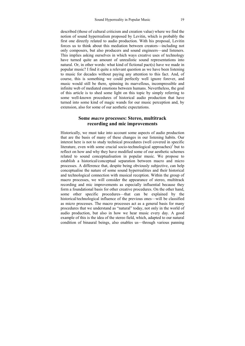described (those of cultural criticism and creation value) where we find the notion of sound hyperrealism proposed by Levitin, which is probably the first one directly related to audio production. With his proposal, Levitin forces us to think about this mediation between creators—including not only composers, but also producers and sound engineers—and listeners. This implies asking ourselves in which ways creative uses of technology have turned quite an amount of unrealistic sound representations into natural. Or, in other words: what kind of fictional pact(s) have we made in popular music? I find it quite a relevant question as we have been listening to music for decades without paying any attention to this fact. And, of course, this is something we could perfectly well ignore forever, and music would still be there, spinning its marvellous, incompressible and infinite web of mediated emotions between humans. Nevertheless, the goal of this article is to shed some light on this topic by simply referring to some well-known procedures of historical audio production that have turned into some kind of magic wands for our music perception and, by extension, also for some of our aesthetic expectations.

#### **Some** *macro* **processes: Stereo, multitrack recording and mic improvements**

Historically, we must take into account some aspects of audio production that are the basis of many of these changes in our listening habits. Our interest here is not to study technical procedures (well covered in specific literature, even with some crucial socio-technological approaches) $1$  but to reflect on how and why they have modified some of our aesthetic schemes related to sound conceptualisation in popular music. We propose to establish a historical/conceptual separation between macro and micro processes. A difference that, despite being obviously subjective, can help conceptualise the nature of some sound hyperrealities and their historical and technological connection with musical reception. Within the group of macro processes, we will consider the appearance of stereo, multitrack recording and mic improvements as especially influential because they form a foundational basis for other creative procedures. On the other hand, some other specific procedures—that can be explained by the historical/technological influence of the previous ones—will be classified as micro processes. The macro processes act as a general basis for many procedures that we understand as "natural" today, not only in the world of audio production, but also in how we hear music every day. A good example of this is the idea of the stereo field, which, adapted to our natural condition of binaural beings, also enables us—through various panning